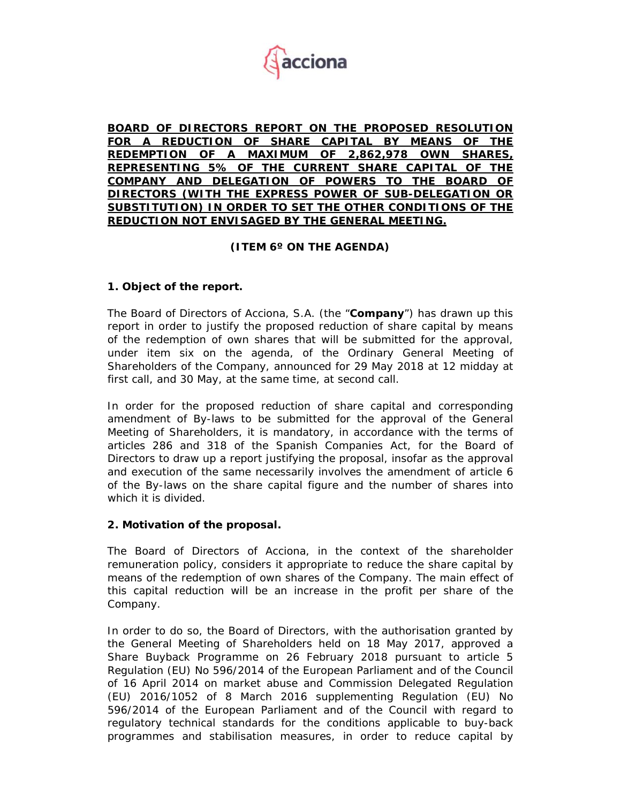

**BOARD OF DIRECTORS REPORT ON THE PROPOSED RESOLUTION FOR A REDUCTION OF SHARE CAPITAL BY MEANS OF THE REDEMPTION OF A MAXIMUM OF 2,862,978 OWN SHARES, REPRESENTING 5% OF THE CURRENT SHARE CAPITAL OF THE COMPANY AND DELEGATION OF POWERS TO THE BOARD OF DIRECTORS (WITH THE EXPRESS POWER OF SUB-DELEGATION OR SUBSTITUTION) IN ORDER TO SET THE OTHER CONDITIONS OF THE REDUCTION NOT ENVISAGED BY THE GENERAL MEETING.**

# **(ITEM 6º ON THE AGENDA)**

# **1. Object of the report.**

The Board of Directors of Acciona, S.A. (the "**Company**") has drawn up this report in order to justify the proposed reduction of share capital by means of the redemption of own shares that will be submitted for the approval, under item six on the agenda, of the Ordinary General Meeting of Shareholders of the Company, announced for 29 May 2018 at 12 midday at first call, and 30 May, at the same time, at second call.

In order for the proposed reduction of share capital and corresponding amendment of By-laws to be submitted for the approval of the General Meeting of Shareholders, it is mandatory, in accordance with the terms of articles 286 and 318 of the Spanish Companies Act, for the Board of Directors to draw up a report justifying the proposal, insofar as the approval and execution of the same necessarily involves the amendment of article 6 of the By-laws on the share capital figure and the number of shares into which it is divided.

### **2. Motivation of the proposal.**

The Board of Directors of Acciona, in the context of the shareholder remuneration policy, considers it appropriate to reduce the share capital by means of the redemption of own shares of the Company. The main effect of this capital reduction will be an increase in the profit per share of the Company.

In order to do so, the Board of Directors, with the authorisation granted by the General Meeting of Shareholders held on 18 May 2017, approved a Share Buyback Programme on 26 February 2018 pursuant to article 5 Regulation (EU) No 596/2014 of the European Parliament and of the Council of 16 April 2014 on market abuse and Commission Delegated Regulation (EU) 2016/1052 of 8 March 2016 supplementing Regulation (EU) No 596/2014 of the European Parliament and of the Council with regard to regulatory technical standards for the conditions applicable to buy-back programmes and stabilisation measures, in order to reduce capital by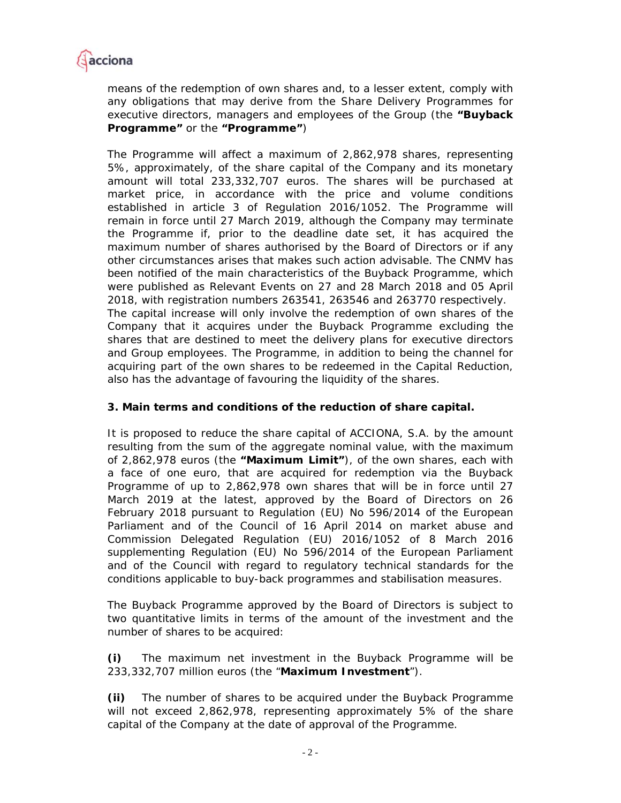

means of the redemption of own shares and, to a lesser extent, comply with any obligations that may derive from the Share Delivery Programmes for executive directors, managers and employees of the Group (the **"Buyback Programme"** or the **"Programme"**)

The Programme will affect a maximum of 2,862,978 shares, representing 5%, approximately, of the share capital of the Company and its monetary amount will total 233,332,707 euros. The shares will be purchased at market price, in accordance with the price and volume conditions established in article 3 of Regulation 2016/1052. The Programme will remain in force until 27 March 2019, although the Company may terminate the Programme if, prior to the deadline date set, it has acquired the maximum number of shares authorised by the Board of Directors or if any other circumstances arises that makes such action advisable. The CNMV has been notified of the main characteristics of the Buyback Programme, which were published as Relevant Events on 27 and 28 March 2018 and 05 April 2018, with registration numbers 263541, 263546 and 263770 respectively. The capital increase will only involve the redemption of own shares of the Company that it acquires under the Buyback Programme excluding the shares that are destined to meet the delivery plans for executive directors and Group employees. The Programme, in addition to being the channel for acquiring part of the own shares to be redeemed in the Capital Reduction, also has the advantage of favouring the liquidity of the shares.

## **3. Main terms and conditions of the reduction of share capital.**

It is proposed to reduce the share capital of ACCIONA, S.A. by the amount resulting from the sum of the aggregate nominal value, with the maximum of 2,862,978 euros (the **"Maximum Limit"**), of the own shares, each with a face of one euro, that are acquired for redemption via the Buyback Programme of up to 2,862,978 own shares that will be in force until 27 March 2019 at the latest, approved by the Board of Directors on 26 February 2018 pursuant to Regulation (EU) No 596/2014 of the European Parliament and of the Council of 16 April 2014 on market abuse and Commission Delegated Regulation (EU) 2016/1052 of 8 March 2016 supplementing Regulation (EU) No 596/2014 of the European Parliament and of the Council with regard to regulatory technical standards for the conditions applicable to buy-back programmes and stabilisation measures.

The Buyback Programme approved by the Board of Directors is subject to two quantitative limits in terms of the amount of the investment and the number of shares to be acquired:

**(i)** The maximum net investment in the Buyback Programme will be 233,332,707 million euros (the "**Maximum Investment**").

**(ii)** The number of shares to be acquired under the Buyback Programme will not exceed 2,862,978, representing approximately 5% of the share capital of the Company at the date of approval of the Programme.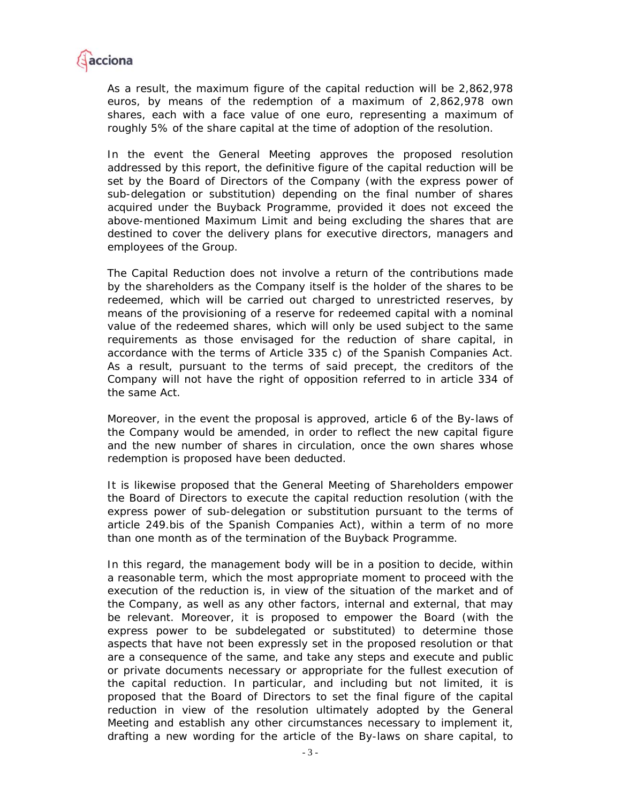

As a result, the maximum figure of the capital reduction will be 2,862,978 euros, by means of the redemption of a maximum of 2,862,978 own shares, each with a face value of one euro, representing a maximum of roughly 5% of the share capital at the time of adoption of the resolution.

In the event the General Meeting approves the proposed resolution addressed by this report, the definitive figure of the capital reduction will be set by the Board of Directors of the Company (with the express power of sub-delegation or substitution) depending on the final number of shares acquired under the Buyback Programme, provided it does not exceed the above-mentioned Maximum Limit and being excluding the shares that are destined to cover the delivery plans for executive directors, managers and employees of the Group.

The Capital Reduction does not involve a return of the contributions made by the shareholders as the Company itself is the holder of the shares to be redeemed, which will be carried out charged to unrestricted reserves, by means of the provisioning of a reserve for redeemed capital with a nominal value of the redeemed shares, which will only be used subject to the same requirements as those envisaged for the reduction of share capital, in accordance with the terms of Article 335 c) of the Spanish Companies Act. As a result, pursuant to the terms of said precept, the creditors of the Company will not have the right of opposition referred to in article 334 of the same Act.

Moreover, in the event the proposal is approved, article 6 of the By-laws of the Company would be amended, in order to reflect the new capital figure and the new number of shares in circulation, once the own shares whose redemption is proposed have been deducted.

It is likewise proposed that the General Meeting of Shareholders empower the Board of Directors to execute the capital reduction resolution (with the express power of sub-delegation or substitution pursuant to the terms of article 249.bis of the Spanish Companies Act), within a term of no more than one month as of the termination of the Buyback Programme.

In this regard, the management body will be in a position to decide, within a reasonable term, which the most appropriate moment to proceed with the execution of the reduction is, in view of the situation of the market and of the Company, as well as any other factors, internal and external, that may be relevant. Moreover, it is proposed to empower the Board (with the express power to be subdelegated or substituted) to determine those aspects that have not been expressly set in the proposed resolution or that are a consequence of the same, and take any steps and execute and public or private documents necessary or appropriate for the fullest execution of the capital reduction. In particular, and including but not limited, it is proposed that the Board of Directors to set the final figure of the capital reduction in view of the resolution ultimately adopted by the General Meeting and establish any other circumstances necessary to implement it, drafting a new wording for the article of the By-laws on share capital, to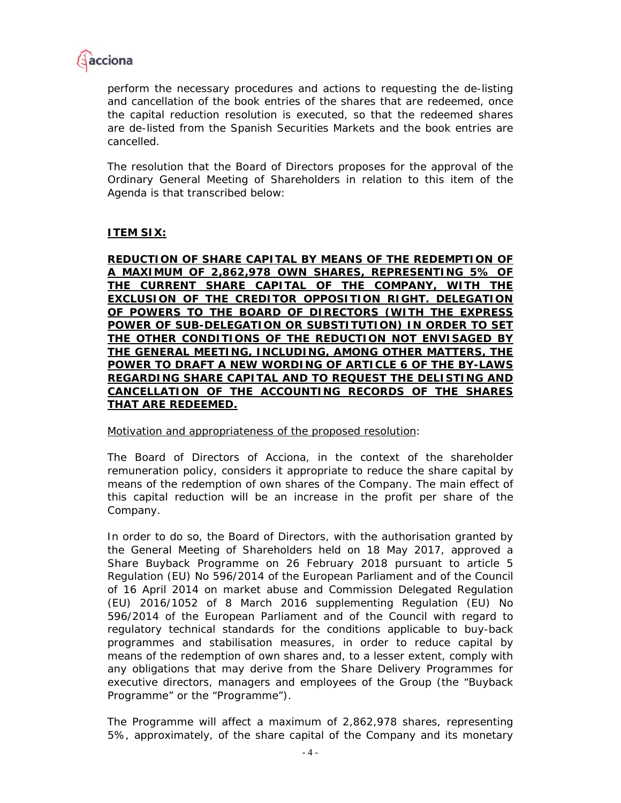

perform the necessary procedures and actions to requesting the de-listing and cancellation of the book entries of the shares that are redeemed, once the capital reduction resolution is executed, so that the redeemed shares are de-listed from the Spanish Securities Markets and the book entries are cancelled.

The resolution that the Board of Directors proposes for the approval of the Ordinary General Meeting of Shareholders in relation to this item of the Agenda is that transcribed below:

# **ITEM SIX:**

**REDUCTION OF SHARE CAPITAL BY MEANS OF THE REDEMPTION OF A MAXIMUM OF 2,862,978 OWN SHARES, REPRESENTING 5% OF THE CURRENT SHARE CAPITAL OF THE COMPANY, WITH THE EXCLUSION OF THE CREDITOR OPPOSITION RIGHT. DELEGATION OF POWERS TO THE BOARD OF DIRECTORS (WITH THE EXPRESS POWER OF SUB-DELEGATION OR SUBSTITUTION) IN ORDER TO SET THE OTHER CONDITIONS OF THE REDUCTION NOT ENVISAGED BY THE GENERAL MEETING, INCLUDING, AMONG OTHER MATTERS, THE POWER TO DRAFT A NEW WORDING OF ARTICLE 6 OF THE BY-LAWS REGARDING SHARE CAPITAL AND TO REQUEST THE DELISTING AND CANCELLATION OF THE ACCOUNTING RECORDS OF THE SHARES THAT ARE REDEEMED.** 

Motivation and appropriateness of the proposed resolution:

The Board of Directors of Acciona, in the context of the shareholder remuneration policy, considers it appropriate to reduce the share capital by means of the redemption of own shares of the Company. The main effect of this capital reduction will be an increase in the profit per share of the Company.

In order to do so, the Board of Directors, with the authorisation granted by the General Meeting of Shareholders held on 18 May 2017, approved a Share Buyback Programme on 26 February 2018 pursuant to article 5 Regulation (EU) No 596/2014 of the European Parliament and of the Council of 16 April 2014 on market abuse and Commission Delegated Regulation (EU) 2016/1052 of 8 March 2016 supplementing Regulation (EU) No 596/2014 of the European Parliament and of the Council with regard to regulatory technical standards for the conditions applicable to buy-back programmes and stabilisation measures, in order to reduce capital by means of the redemption of own shares and, to a lesser extent, comply with any obligations that may derive from the Share Delivery Programmes for executive directors, managers and employees of the Group (the "Buyback Programme" or the "Programme").

The Programme will affect a maximum of 2,862,978 shares, representing 5%, approximately, of the share capital of the Company and its monetary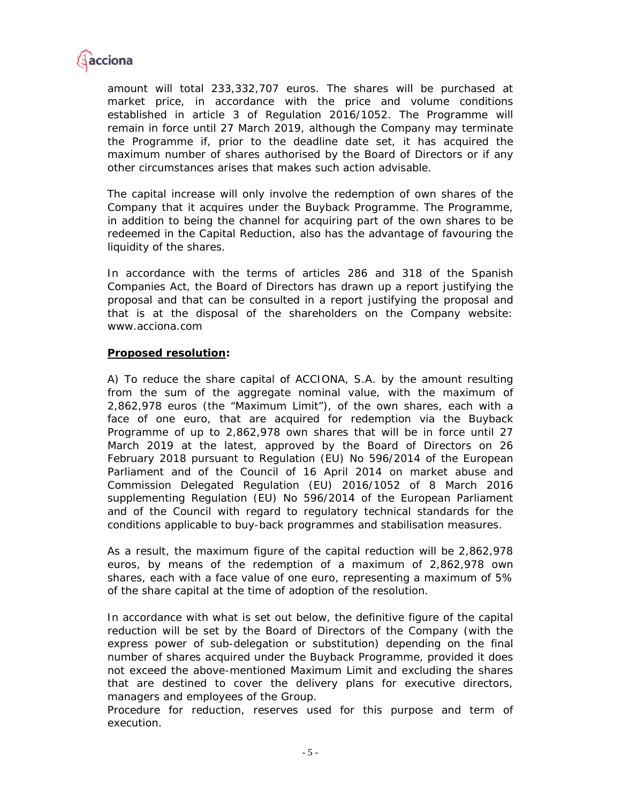

amount will total 233,332,707 euros. The shares will be purchased at market price, in accordance with the price and volume conditions established in article 3 of Regulation 2016/1052. The Programme will remain in force until 27 March 2019, although the Company may terminate the Programme if, prior to the deadline date set, it has acquired the maximum number of shares authorised by the Board of Directors or if any other circumstances arises that makes such action advisable.

The capital increase will only involve the redemption of own shares of the Company that it acquires under the Buyback Programme. The Programme, in addition to being the channel for acquiring part of the own shares to be redeemed in the Capital Reduction, also has the advantage of favouring the liquidity of the shares.

In accordance with the terms of articles 286 and 318 of the Spanish Companies Act, the Board of Directors has drawn up a report justifying the proposal and that can be consulted in a report justifying the proposal and that is at the disposal of the shareholders on the Company website: www.acciona.com

### **Proposed resolution:**

A) To reduce the share capital of ACCIONA, S.A. by the amount resulting from the sum of the aggregate nominal value, with the maximum of 2,862,978 euros (the "Maximum Limit"), of the own shares, each with a face of one euro, that are acquired for redemption via the Buyback Programme of up to 2,862,978 own shares that will be in force until 27 March 2019 at the latest, approved by the Board of Directors on 26 February 2018 pursuant to Regulation (EU) No 596/2014 of the European Parliament and of the Council of 16 April 2014 on market abuse and Commission Delegated Regulation (EU) 2016/1052 of 8 March 2016 supplementing Regulation (EU) No 596/2014 of the European Parliament and of the Council with regard to regulatory technical standards for the conditions applicable to buy-back programmes and stabilisation measures.

As a result, the maximum figure of the capital reduction will be 2,862,978 euros, by means of the redemption of a maximum of 2,862,978 own shares, each with a face value of one euro, representing a maximum of 5% of the share capital at the time of adoption of the resolution.

In accordance with what is set out below, the definitive figure of the capital reduction will be set by the Board of Directors of the Company (with the express power of sub-delegation or substitution) depending on the final number of shares acquired under the Buyback Programme, provided it does not exceed the above-mentioned Maximum Limit and excluding the shares that are destined to cover the delivery plans for executive directors, managers and employees of the Group.

Procedure for reduction, reserves used for this purpose and term of execution.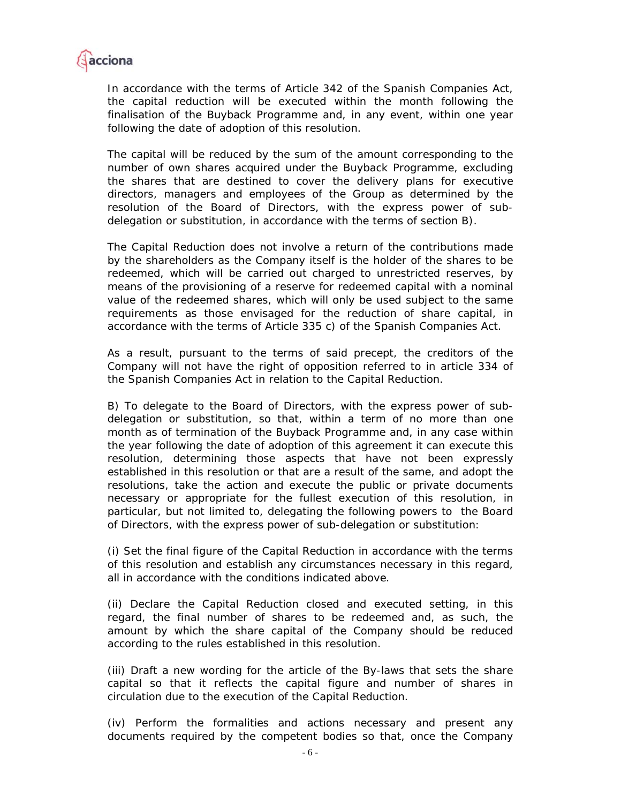

In accordance with the terms of Article 342 of the Spanish Companies Act, the capital reduction will be executed within the month following the finalisation of the Buyback Programme and, in any event, within one year following the date of adoption of this resolution.

The capital will be reduced by the sum of the amount corresponding to the number of own shares acquired under the Buyback Programme, excluding the shares that are destined to cover the delivery plans for executive directors, managers and employees of the Group as determined by the resolution of the Board of Directors, with the express power of subdelegation or substitution, in accordance with the terms of section B).

The Capital Reduction does not involve a return of the contributions made by the shareholders as the Company itself is the holder of the shares to be redeemed, which will be carried out charged to unrestricted reserves, by means of the provisioning of a reserve for redeemed capital with a nominal value of the redeemed shares, which will only be used subject to the same requirements as those envisaged for the reduction of share capital, in accordance with the terms of Article 335 c) of the Spanish Companies Act.

As a result, pursuant to the terms of said precept, the creditors of the Company will not have the right of opposition referred to in article 334 of the Spanish Companies Act in relation to the Capital Reduction.

B) To delegate to the Board of Directors, with the express power of subdelegation or substitution, so that, within a term of no more than one month as of termination of the Buyback Programme and, in any case within the year following the date of adoption of this agreement it can execute this resolution, determining those aspects that have not been expressly established in this resolution or that are a result of the same, and adopt the resolutions, take the action and execute the public or private documents necessary or appropriate for the fullest execution of this resolution, in particular, but not limited to, delegating the following powers to the Board of Directors, with the express power of sub-delegation or substitution:

(i) Set the final figure of the Capital Reduction in accordance with the terms of this resolution and establish any circumstances necessary in this regard, all in accordance with the conditions indicated above.

(ii) Declare the Capital Reduction closed and executed setting, in this regard, the final number of shares to be redeemed and, as such, the amount by which the share capital of the Company should be reduced according to the rules established in this resolution.

(iii) Draft a new wording for the article of the By-laws that sets the share capital so that it reflects the capital figure and number of shares in circulation due to the execution of the Capital Reduction.

(iv) Perform the formalities and actions necessary and present any documents required by the competent bodies so that, once the Company